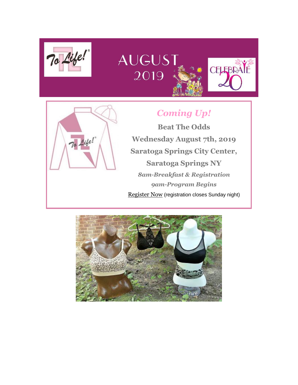

# **AUGUST** 2019



# *Coming Up!*

CELEBRATE

**Beat The Odds Wednesday August 7th, 2019 Saratoga Springs City Center, Saratoga Springs NY** *8am-Breakfast & Registration 9am-Program Begins* [Register Now](https://www.eventbrite.com/e/21st-annual-beat-the-odds-educational-forum-on-breast-cancer-by-to-life-registration-63015517108?aff=ebdssbdestsearch) (registration closes Sunday night)

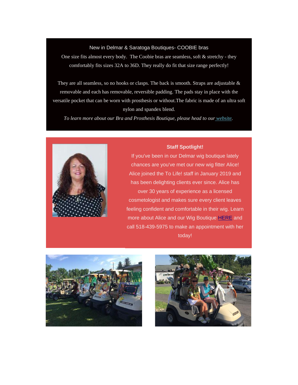### New in Delmar & Saratoga Boutiques- COOBIE bras

One size fits almost every body. The Coobie bras are seamless, soft & stretchy - they comfortably fits sizes 32A to 36D. They really do fit that size range perfectly!

They are all seamless, so no hooks or clasps. The back is smooth. Straps are adjustable  $\&$ removable and each has removable, reversible padding. The pads stay in place with the versatile pocket that can be worn with prosthesis or without.The fabric is made of an ultra soft nylon and spandex blend.

*To learn more about our Bra and Prosthesis Boutique, please head to our [website.](https://tolife.org/youve-been-diagnosed-now-what/boutique-services/mastectomy-products)*



#### *Staff Spotlight!*

If you've been in our Delmar wig boutique lately chances are you've met our new wig fitter Alice! Alice joined the To Life! staff in January 2019 and has been delighting clients ever since. Alice has over 30 years of experience as a licensed cosmetologist and makes sure every client leaves feeling confident and comfortable in their wig. Learn more about Alice and our Wig Boutique [HERE](https://tolife.org/youve-been-diagnosed-now-what/boutique-services/wigs-head-coverings) and call 518-439-5975 to make an appointment with her today!



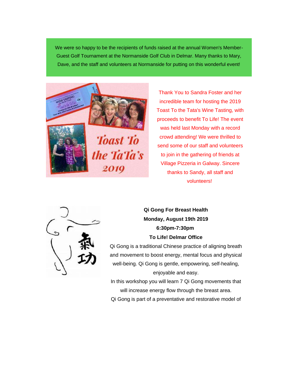We were so happy to be the recipients of funds raised at the annual Women's Member-Guest Golf Tournament at the Normanside Golf Club in Delmar. Many thanks to Mary, Dave, and the staff and volunteers at Normanside for putting on this wonderful event!



Thank You to Sandra Foster and her incredible team for hosting the 2019 Toast To the Tata's Wine Tasting, with proceeds to benefit To Life! The event was held last Monday with a record crowd attending! We were thrilled to send some of our staff and volunteers to join in the gathering of friends at Village Pizzeria in Galway. Sincere thanks to Sandy, all staff and volunteers!



*Qi Gong For Breast Health Monday, August 19th 2019 6:30pm-7:30pm To Life! Delmar Office*

Qi Gong is a traditional Chinese practice of aligning breath and movement to boost energy, mental focus and physical well-being. Qi Gong is gentle, empowering, self-healing, enjoyable and easy.

In this workshop you will learn 7 Qi Gong movements that will increase energy flow through the breast area. Qi Gong is part of a preventative and restorative model of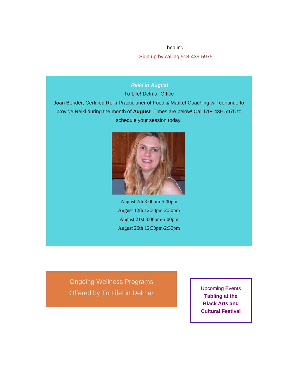healing.

Sign up by calling 518-439-5975

# *Reiki in August*

To Life! Delmar Office

Joan Bender, Certified Reiki Practicioner of Food & Market Coaching will continue to provide Reiki during the month of **August**. Times are below! Call 518-439-5975 to schedule your session today!



August 7th 3:00pm-5:00pm August 12th 12:30pm-2:30pm August 21st 3:00pm-5:00pm August 26th 12:30pm-2:30pm

Ongoing Wellness Programs Offered by *To Life!* in Delmar

Upcoming Events **Tabling at the Black Arts and Cultural Festival**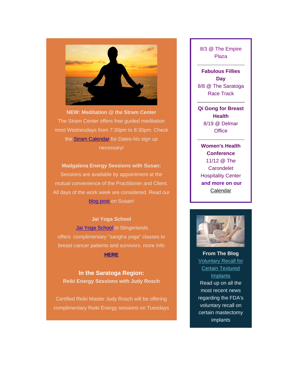

**NEW: Meditation @ the Stram Center** The Stram Center offers free guided meditation most Wednesdays from 7:30pm to 8:30pm. Check the **Stram Calendar** for Dates-No sign up necessary!

# **Madgalena Energy Sessions with Susan:**

Sessions are available by appointment at the mutual convenience of the Practitioner and Client. All days of the work week are considered. Read our [blog post o](https://tolife.org/blog/lets-chat-energy-healer-sue-sperber)n Susan!

# *Jai Yoga School*

[Jai Yoga School](https://jaiyogaschool.com/) in Slingerlands offers complimentary "sangha yoga" classes to breast cancer patients and survivors. more Info **[HERE](https://tolife.org/youve-been-diagnosed-now-what/support/wellness-programs)**

**In the Saratoga Region:** *Reiki Energy Sessions with Judy Rosch*

Certified Reiki Master Judy Rosch will be offering complimentary Reiki Energy sessions on Tuesdays 8/3 @ The Empire Plaza

**Fabulous Fillies Day** 8/8 @ The Saratoga Race Track

**Qi Gong for Breast Health** 8/19 @ Delmar **Office** 

**Women's Health Conference** 11/12 @ The **Carondelet** Hospitality Center *and more on our [Calendar](https://tolife.org/donating-and-fundraising-events/fundraising-events/calendar)*



**From The Blog Voluntary Recall for Certain Textured** [Implants](https://tolife.org/blog/voluntary-recall-certain-textured-breast-implants) Read up on all the most recent news regarding the FDA's voluntary recall on certain mastectomy implants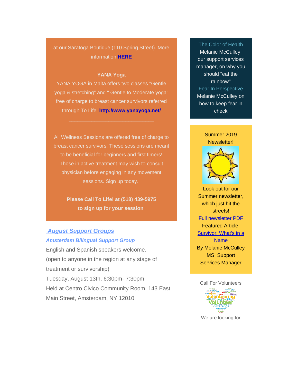# at our Saratoga Boutique (110 Spring Street). More information **[HERE](https://tolife.org/youve-been-diagnosed-now-what/support/wellness-programs)**

# **YANA Yoga**

YANA YOGA in Malta offers two classes "Gentle yoga & stretching" and " Gentle to Moderate yoga" free of charge to breast cancer survivors referred through To Life! **<http://www.yanayoga.net/>**

 $\mathcal{L}_\mathcal{L}$  , and the set of the set of the set of the set of the set of the set of the set of the set of the set of the set of the set of the set of the set of the set of the set of the set of the set of the set of th

All Wellness Sessions are offered free of charge to breast cancer survivors. These sessions are meant to be beneficial for beginners and first timers! Those in active treatment may wish to consult physician before engaging in any movement sessions. Sign up today.

> **Please Call To Life! at (518) 439-5975 to sign up for your session**

# *August Support Groups Amsterdam Bilingual Support Group*

English and Spanish speakers welcome. (open to anyone in the region at any stage of treatment or survivorship) Tuesday, August 13th, 6:30pm- 7:30pm Held at Centro Civico Community Room, 143 East Main Street, Amsterdam, NY 12010

#### [The Color of Health](https://tolife.org/blog/color-health)

Melanie McCulley, our support services manager, on why you should "eat the rainbow" [Fear In Perspective](https://tolife.org/blog/fear-ps) Melanie McCulley on how to keep fear in check



Look out for our Summer newsletter, which just hit the streets! [Full newsletter PDF](https://gallery.mailchimp.com/241d59b897b4121e9d2e15914/files/208a8040-1c28-478b-bde6-3a1da9bcd2fc/June_2019_final.pdf) Featured Article: [Survivor: What's in a](https://gallery.mailchimp.com/241d59b897b4121e9d2e15914/files/8aabc52b-a0d0-410e-8f66-bbcb31d9372c/Survivor_What_s_in_a_Name.pdf)  [Name](https://gallery.mailchimp.com/241d59b897b4121e9d2e15914/files/8aabc52b-a0d0-410e-8f66-bbcb31d9372c/Survivor_What_s_in_a_Name.pdf) By Melanie McCulley MS, Support Services Manager

## Call For Volunteers



We are looking for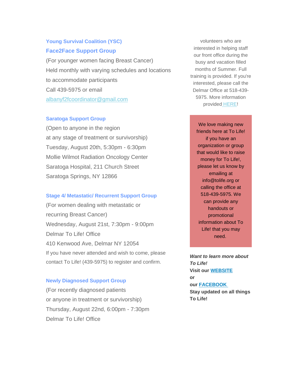# *Young Survival Coalition (YSC) Face2Face Support Group*

(For younger women facing Breast Cancer) Held monthly with varying schedules and locations to accommodate participants Call 439-5975 or email [albanyf2fcoordinator@gmail.com](mailto:albanyf2fcoordinator@gmail.com)

# *Saratoga Support Group*

(Open to anyone in the region at any stage of treatment or survivorship) Tuesday, August 20th, 5:30pm - 6:30pm Mollie Wilmot Radiation Oncology Center Saratoga Hospital, 211 Church Street Saratoga Springs, NY 12866

# *Stage 4/ Metastatic/ Recurrent Support Group*

(For women dealing with metastatic or recurring Breast Cancer) Wednesday, August 21st, 7:30pm - 9:00pm Delmar To Life! Office 410 Kenwood Ave, Delmar NY 12054 If you have never attended and wish to come, please contact To Life! (439-5975) to register and confirm.

### *Newly Diagnosed Support Group*

(For recently diagnosed patients or anyone in treatment or survivorship) Thursday, August 22nd, 6:00pm - 7:30pm Delmar To Life! Office

volunteers who are interested in helping staff our front office during the busy and vacation filled months of Summer. Full training is provided. If you're interested, please call the Delmar Office at 518-439- 5975. More information provided [HERE!](https://gallery.mailchimp.com/241d59b897b4121e9d2e15914/files/2e0423a4-7731-4d22-b419-d241a1c9c2c6/Volunteer_Roles_Outline.docx)

We love making new friends here at To Life! if you have an organization or group that would like to raise money for To Life!, please let us know by emailing at info@tolife.org or calling the office at 518-439-5975. We can provide any handouts or promotional information about To Life! that you may need.

*Want to learn more about To Life!* **Visit our [WEBSITE](https://tolife.org/) or our [FACEBOOK](https://www.facebook.com/ToLifeCares) Stay updated on all things To Life!**